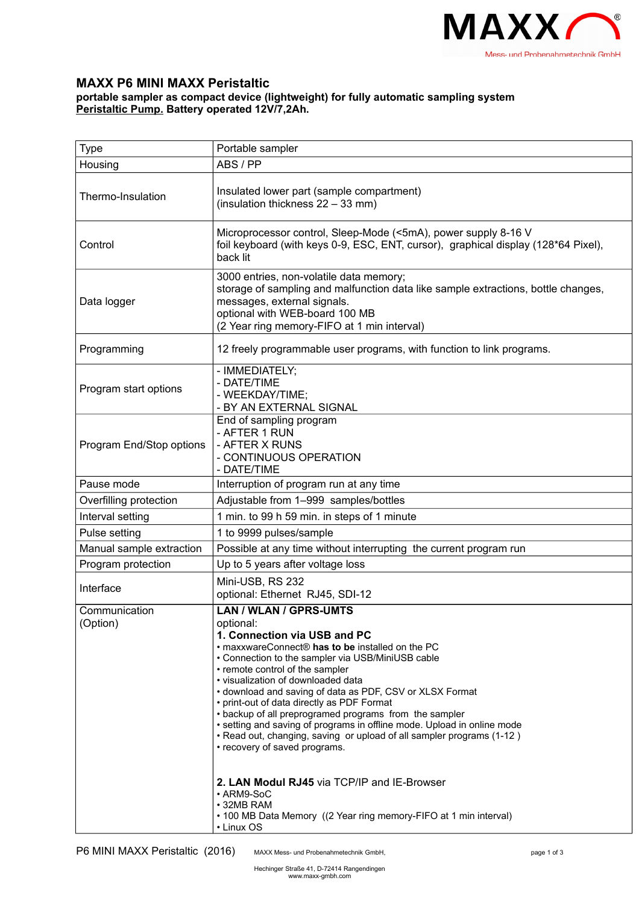

## **MAXX P6 MINI MAXX Peristaltic**

## **portable sampler as compact device (lightweight) for fully automatic sampling system Peristaltic Pump. Battery operated 12V/7,2Ah.**

| <b>Type</b>               | Portable sampler                                                                                                                                                                                                                                                                                                                                                                                                                                                                                                                                                                                                                                                                                                                                                                    |  |  |
|---------------------------|-------------------------------------------------------------------------------------------------------------------------------------------------------------------------------------------------------------------------------------------------------------------------------------------------------------------------------------------------------------------------------------------------------------------------------------------------------------------------------------------------------------------------------------------------------------------------------------------------------------------------------------------------------------------------------------------------------------------------------------------------------------------------------------|--|--|
| Housing                   | ABS / PP                                                                                                                                                                                                                                                                                                                                                                                                                                                                                                                                                                                                                                                                                                                                                                            |  |  |
| Thermo-Insulation         | Insulated lower part (sample compartment)<br>(insulation thickness 22 - 33 mm)                                                                                                                                                                                                                                                                                                                                                                                                                                                                                                                                                                                                                                                                                                      |  |  |
| Control                   | Microprocessor control, Sleep-Mode (<5mA), power supply 8-16 V<br>foil keyboard (with keys 0-9, ESC, ENT, cursor), graphical display (128*64 Pixel),<br>back lit                                                                                                                                                                                                                                                                                                                                                                                                                                                                                                                                                                                                                    |  |  |
| Data logger               | 3000 entries, non-volatile data memory;<br>storage of sampling and malfunction data like sample extractions, bottle changes,<br>messages, external signals.<br>optional with WEB-board 100 MB<br>(2 Year ring memory-FIFO at 1 min interval)                                                                                                                                                                                                                                                                                                                                                                                                                                                                                                                                        |  |  |
| Programming               | 12 freely programmable user programs, with function to link programs.                                                                                                                                                                                                                                                                                                                                                                                                                                                                                                                                                                                                                                                                                                               |  |  |
| Program start options     | - IMMEDIATELY;<br>- DATE/TIME<br>- WEEKDAY/TIME;<br>- BY AN EXTERNAL SIGNAL                                                                                                                                                                                                                                                                                                                                                                                                                                                                                                                                                                                                                                                                                                         |  |  |
| Program End/Stop options  | End of sampling program<br>- AFTER 1 RUN<br>- AFTER X RUNS<br>- CONTINUOUS OPERATION<br>- DATE/TIME                                                                                                                                                                                                                                                                                                                                                                                                                                                                                                                                                                                                                                                                                 |  |  |
| Pause mode                | Interruption of program run at any time                                                                                                                                                                                                                                                                                                                                                                                                                                                                                                                                                                                                                                                                                                                                             |  |  |
| Overfilling protection    | Adjustable from 1-999 samples/bottles                                                                                                                                                                                                                                                                                                                                                                                                                                                                                                                                                                                                                                                                                                                                               |  |  |
| Interval setting          | 1 min. to 99 h 59 min. in steps of 1 minute                                                                                                                                                                                                                                                                                                                                                                                                                                                                                                                                                                                                                                                                                                                                         |  |  |
| Pulse setting             | 1 to 9999 pulses/sample                                                                                                                                                                                                                                                                                                                                                                                                                                                                                                                                                                                                                                                                                                                                                             |  |  |
| Manual sample extraction  | Possible at any time without interrupting the current program run                                                                                                                                                                                                                                                                                                                                                                                                                                                                                                                                                                                                                                                                                                                   |  |  |
| Program protection        | Up to 5 years after voltage loss                                                                                                                                                                                                                                                                                                                                                                                                                                                                                                                                                                                                                                                                                                                                                    |  |  |
| Interface                 | Mini-USB, RS 232<br>optional: Ethernet RJ45, SDI-12                                                                                                                                                                                                                                                                                                                                                                                                                                                                                                                                                                                                                                                                                                                                 |  |  |
| Communication<br>(Option) | <b>LAN / WLAN / GPRS-UMTS</b><br>optional:<br>1. Connection via USB and PC<br>. maxxwareConnect® has to be installed on the PC<br>• Connection to the sampler via USB/MiniUSB cable<br>• remote control of the sampler<br>• visualization of downloaded data<br>• download and saving of data as PDF, CSV or XLSX Format<br>• print-out of data directly as PDF Format<br>• backup of all preprogramed programs from the sampler<br>• setting and saving of programs in offline mode. Upload in online mode<br>. Read out, changing, saving or upload of all sampler programs (1-12)<br>• recovery of saved programs.<br>2. LAN Modul RJ45 via TCP/IP and IE-Browser<br>• ARM9-SoC<br>• 32MB RAM<br>• 100 MB Data Memory ((2 Year ring memory-FIFO at 1 min interval)<br>• Linux OS |  |  |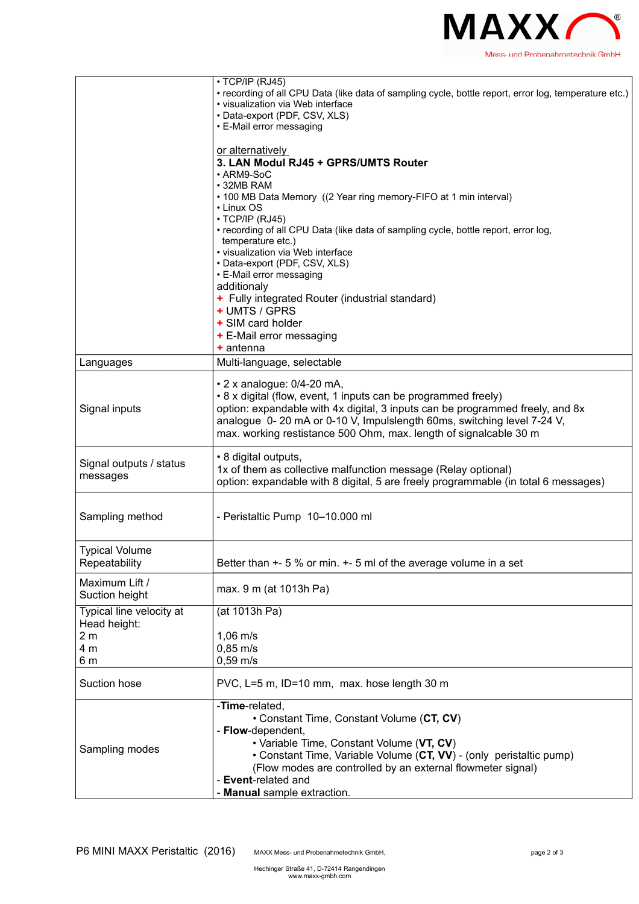

|                                          | $\cdot$ TCP/IP (RJ45)<br>· recording of all CPU Data (like data of sampling cycle, bottle report, error log, temperature etc.)<br>• visualization via Web interface<br>• Data-export (PDF, CSV, XLS)                                                                                                                               |  |  |
|------------------------------------------|------------------------------------------------------------------------------------------------------------------------------------------------------------------------------------------------------------------------------------------------------------------------------------------------------------------------------------|--|--|
|                                          | • E-Mail error messaging                                                                                                                                                                                                                                                                                                           |  |  |
|                                          | or alternatively<br>3. LAN Modul RJ45 + GPRS/UMTS Router<br>• ARM9-SoC<br>$\cdot$ 32MB RAM<br>• 100 MB Data Memory ((2 Year ring memory-FIFO at 1 min interval)<br>• Linux OS                                                                                                                                                      |  |  |
|                                          | $\cdot$ TCP/IP (RJ45)<br>• recording of all CPU Data (like data of sampling cycle, bottle report, error log,<br>temperature etc.)<br>• visualization via Web interface                                                                                                                                                             |  |  |
|                                          | • Data-export (PDF, CSV, XLS)<br>• E-Mail error messaging<br>additionaly<br>+ Fully integrated Router (industrial standard)                                                                                                                                                                                                        |  |  |
|                                          | + UMTS / GPRS<br>+ SIM card holder<br>+ E-Mail error messaging<br>$+$ antenna                                                                                                                                                                                                                                                      |  |  |
| Languages                                | Multi-language, selectable                                                                                                                                                                                                                                                                                                         |  |  |
| Signal inputs                            | $\cdot$ 2 x analogue: 0/4-20 mA,<br>• 8 x digital (flow, event, 1 inputs can be programmed freely)<br>option: expandable with 4x digital, 3 inputs can be programmed freely, and 8x<br>analogue 0-20 mA or 0-10 V, Impulslength 60ms, switching level 7-24 V,<br>max. working restistance 500 Ohm, max. length of signalcable 30 m |  |  |
| Signal outputs / status<br>messages      | • 8 digital outputs,<br>1x of them as collective malfunction message (Relay optional)<br>option: expandable with 8 digital, 5 are freely programmable (in total 6 messages)                                                                                                                                                        |  |  |
| Sampling method                          | - Peristaltic Pump 10-10.000 ml                                                                                                                                                                                                                                                                                                    |  |  |
| <b>Typical Volume</b><br>Repeatability   | Better than $+5$ % or min. $+5$ ml of the average volume in a set                                                                                                                                                                                                                                                                  |  |  |
| Maximum Lift /<br>Suction height         | max. 9 m (at 1013h Pa)                                                                                                                                                                                                                                                                                                             |  |  |
| Typical line velocity at<br>Head height: | (at 1013h Pa)                                                                                                                                                                                                                                                                                                                      |  |  |
| 2 <sub>m</sub><br>4 m<br>6 m             | $1,06 \, \text{m/s}$<br>$0,85 \; \text{m/s}$<br>$0,59$ m/s                                                                                                                                                                                                                                                                         |  |  |
| Suction hose                             | PVC, L=5 m, ID=10 mm, max. hose length 30 m                                                                                                                                                                                                                                                                                        |  |  |
| Sampling modes                           | -Time-related,<br>• Constant Time, Constant Volume (CT, CV)<br>- Flow-dependent,<br>· Variable Time, Constant Volume (VT, CV)<br>• Constant Time, Variable Volume (CT, VV) - (only peristaltic pump)<br>(Flow modes are controlled by an external flowmeter signal)<br>- Event-related and<br>Manual sample extraction.            |  |  |